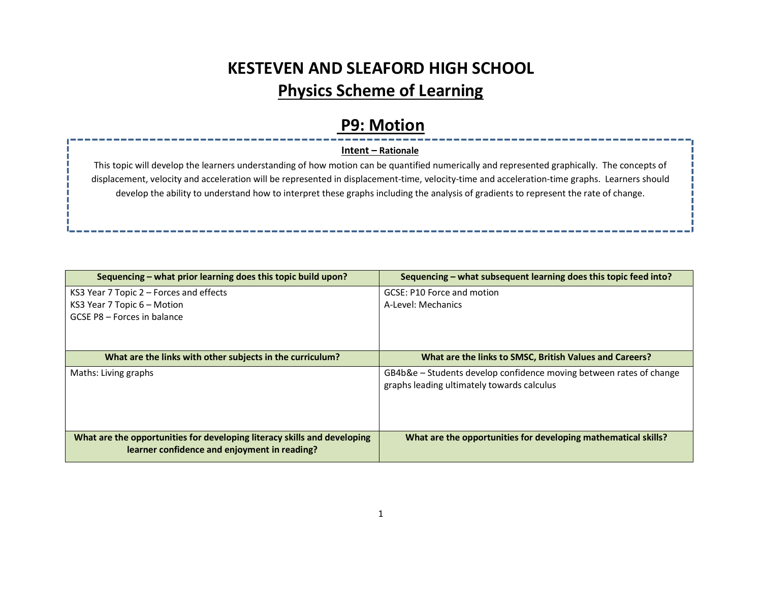## KESTEVEN AND SLEAFORD HIGH SCHOOL Physics Scheme of Learning

#### P9: Motion

#### Intent – Rationale

This topic will develop the learners understanding of how motion can be quantified numerically and represented graphically. The concepts of displacement, velocity and acceleration will be represented in displacement-time, velocity-time and acceleration-time graphs. Learners should develop the ability to understand how to interpret these graphs including the analysis of gradients to represent the rate of change.

| Sequencing – what prior learning does this topic build upon?             | Sequencing – what subsequent learning does this topic feed into?    |
|--------------------------------------------------------------------------|---------------------------------------------------------------------|
| KS3 Year 7 Topic 2 - Forces and effects                                  | GCSE: P10 Force and motion                                          |
| KS3 Year 7 Topic 6 - Motion                                              | A-Level: Mechanics                                                  |
| GCSE P8 - Forces in balance                                              |                                                                     |
|                                                                          |                                                                     |
|                                                                          |                                                                     |
| What are the links with other subjects in the curriculum?                | What are the links to SMSC, British Values and Careers?             |
| Maths: Living graphs                                                     | GB4b&e - Students develop confidence moving between rates of change |
|                                                                          | graphs leading ultimately towards calculus                          |
|                                                                          |                                                                     |
|                                                                          |                                                                     |
|                                                                          |                                                                     |
| What are the opportunities for developing literacy skills and developing | What are the opportunities for developing mathematical skills?      |
| learner confidence and enjoyment in reading?                             |                                                                     |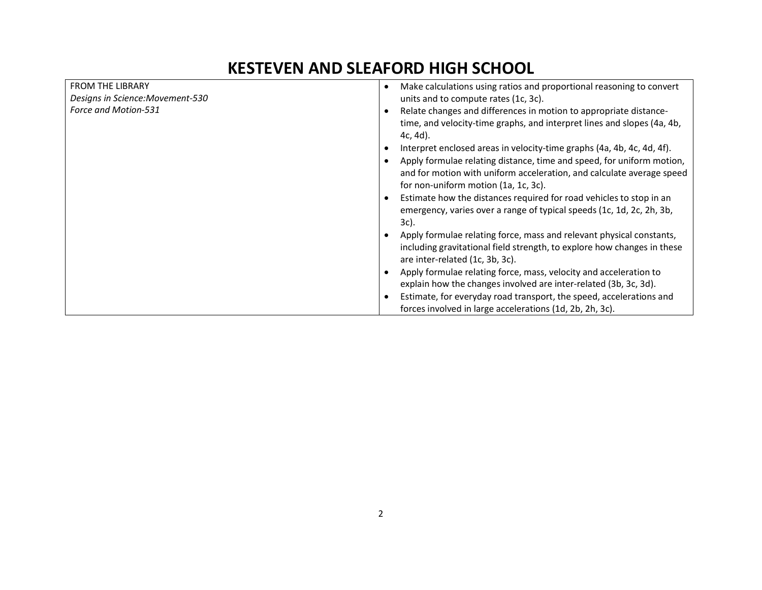## KESTEVEN AND SLEAFORD HIGH SCHOOL

| <b>FROM THE LIBRARY</b>          | Make calculations using ratios and proportional reasoning to convert<br>$\bullet$                                                                                                      |
|----------------------------------|----------------------------------------------------------------------------------------------------------------------------------------------------------------------------------------|
| Designs in Science: Movement-530 | units and to compute rates (1c, 3c).                                                                                                                                                   |
| Force and Motion-531             | Relate changes and differences in motion to appropriate distance-<br>time, and velocity-time graphs, and interpret lines and slopes (4a, 4b,<br>$4c, 4d$ .                             |
|                                  | Interpret enclosed areas in velocity-time graphs (4a, 4b, 4c, 4d, 4f).                                                                                                                 |
|                                  | Apply formulae relating distance, time and speed, for uniform motion,<br>and for motion with uniform acceleration, and calculate average speed<br>for non-uniform motion (1a, 1c, 3c). |
|                                  | Estimate how the distances required for road vehicles to stop in an<br>emergency, varies over a range of typical speeds (1c, 1d, 2c, 2h, 3b,<br>3c).                                   |
|                                  | Apply formulae relating force, mass and relevant physical constants,<br>including gravitational field strength, to explore how changes in these<br>are inter-related (1c, 3b, 3c).     |
|                                  | Apply formulae relating force, mass, velocity and acceleration to<br>explain how the changes involved are inter-related (3b, 3c, 3d).                                                  |
|                                  | Estimate, for everyday road transport, the speed, accelerations and<br>forces involved in large accelerations (1d, 2b, 2h, 3c).                                                        |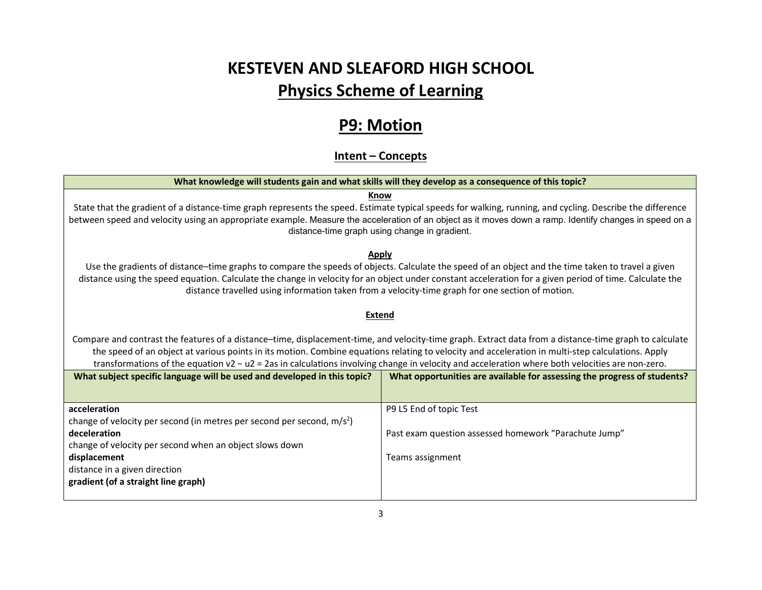# KESTEVEN AND SLEAFORD HIGH SCHOOL Physics Scheme of Learning

### P9: Motion

#### Intent – Concepts

| What knowledge will students gain and what skills will they develop as a consequence of this topic?                                                                                                                                                                                                                                                                                                                                                            |                                                                          |  |  |
|----------------------------------------------------------------------------------------------------------------------------------------------------------------------------------------------------------------------------------------------------------------------------------------------------------------------------------------------------------------------------------------------------------------------------------------------------------------|--------------------------------------------------------------------------|--|--|
| Know<br>State that the gradient of a distance-time graph represents the speed. Estimate typical speeds for walking, running, and cycling. Describe the difference<br>between speed and velocity using an appropriate example. Measure the acceleration of an object as it moves down a ramp. Identify changes in speed on a<br>distance-time graph using change in gradient.                                                                                   |                                                                          |  |  |
| Apply<br>Use the gradients of distance-time graphs to compare the speeds of objects. Calculate the speed of an object and the time taken to travel a given<br>distance using the speed equation. Calculate the change in velocity for an object under constant acceleration for a given period of time. Calculate the<br>distance travelled using information taken from a velocity-time graph for one section of motion.                                      |                                                                          |  |  |
| <b>Extend</b>                                                                                                                                                                                                                                                                                                                                                                                                                                                  |                                                                          |  |  |
| Compare and contrast the features of a distance-time, displacement-time, and velocity-time graph. Extract data from a distance-time graph to calculate<br>the speed of an object at various points in its motion. Combine equations relating to velocity and acceleration in multi-step calculations. Apply<br>transformations of the equation v2 - u2 = 2as in calculations involving change in velocity and acceleration where both velocities are non-zero. |                                                                          |  |  |
| What subject specific language will be used and developed in this topic?                                                                                                                                                                                                                                                                                                                                                                                       | What opportunities are available for assessing the progress of students? |  |  |
| acceleration                                                                                                                                                                                                                                                                                                                                                                                                                                                   | P9 L5 End of topic Test                                                  |  |  |
| change of velocity per second (in metres per second per second, $m/s2$ )<br>deceleration<br>change of velocity per second when an object slows down                                                                                                                                                                                                                                                                                                            | Past exam question assessed homework "Parachute Jump"                    |  |  |
| displacement                                                                                                                                                                                                                                                                                                                                                                                                                                                   | Teams assignment                                                         |  |  |
| distance in a given direction<br>gradient (of a straight line graph)                                                                                                                                                                                                                                                                                                                                                                                           |                                                                          |  |  |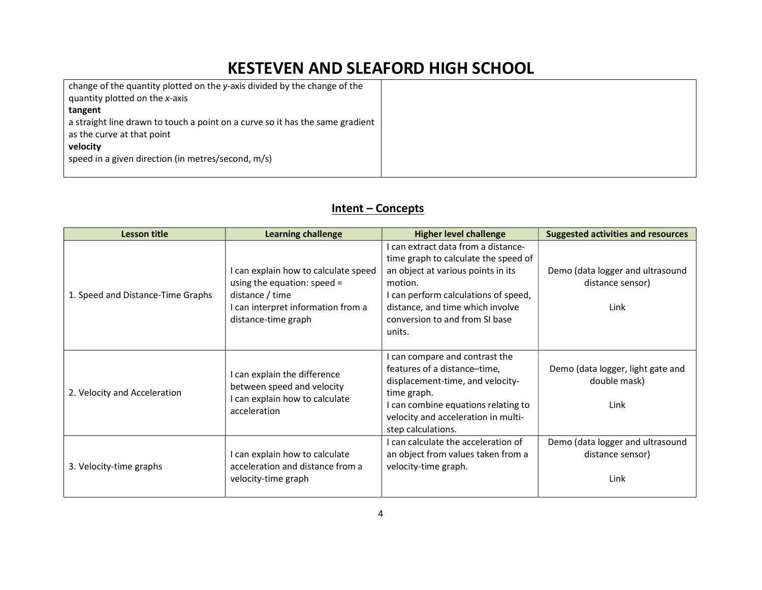### KESTEVEN AND SLEAFORD HIGH SCHOOL

| change of the quantity plotted on the y-axis divided by the change of the                                   |  |
|-------------------------------------------------------------------------------------------------------------|--|
| quantity plotted on the x-axis                                                                              |  |
| tangent                                                                                                     |  |
| a straight line drawn to touch a point on a curve so it has the same gradient<br>as the curve at that point |  |
| velocity                                                                                                    |  |
| speed in a given direction (in metres/second, m/s)                                                          |  |

#### Intent – Concepts

| Lesson title                      | <b>Learning challenge</b>                                                                                                                             | <b>Higher level challenge</b>                                                                                                                                                                                                                        | <b>Suggested activities and resources</b>                    |
|-----------------------------------|-------------------------------------------------------------------------------------------------------------------------------------------------------|------------------------------------------------------------------------------------------------------------------------------------------------------------------------------------------------------------------------------------------------------|--------------------------------------------------------------|
| 1. Speed and Distance-Time Graphs | I can explain how to calculate speed<br>using the equation: speed $=$<br>distance / time<br>I can interpret information from a<br>distance-time graph | I can extract data from a distance-<br>time graph to calculate the speed of<br>an object at various points in its<br>motion.<br>I can perform calculations of speed,<br>distance, and time which involve<br>conversion to and from SI base<br>units. | Demo (data logger and ultrasound<br>distance sensor)<br>Link |
| 2. Velocity and Acceleration      | I can explain the difference<br>between speed and velocity<br>I can explain how to calculate<br>acceleration                                          | I can compare and contrast the<br>features of a distance-time,<br>displacement-time, and velocity-<br>time graph.<br>I can combine equations relating to<br>velocity and acceleration in multi-<br>step calculations.                                | Demo (data logger, light gate and<br>double mask)<br>Link    |
| 3. Velocity-time graphs           | I can explain how to calculate<br>acceleration and distance from a<br>velocity-time graph                                                             | I can calculate the acceleration of<br>an object from values taken from a<br>velocity-time graph.                                                                                                                                                    | Demo (data logger and ultrasound<br>distance sensor)<br>Link |